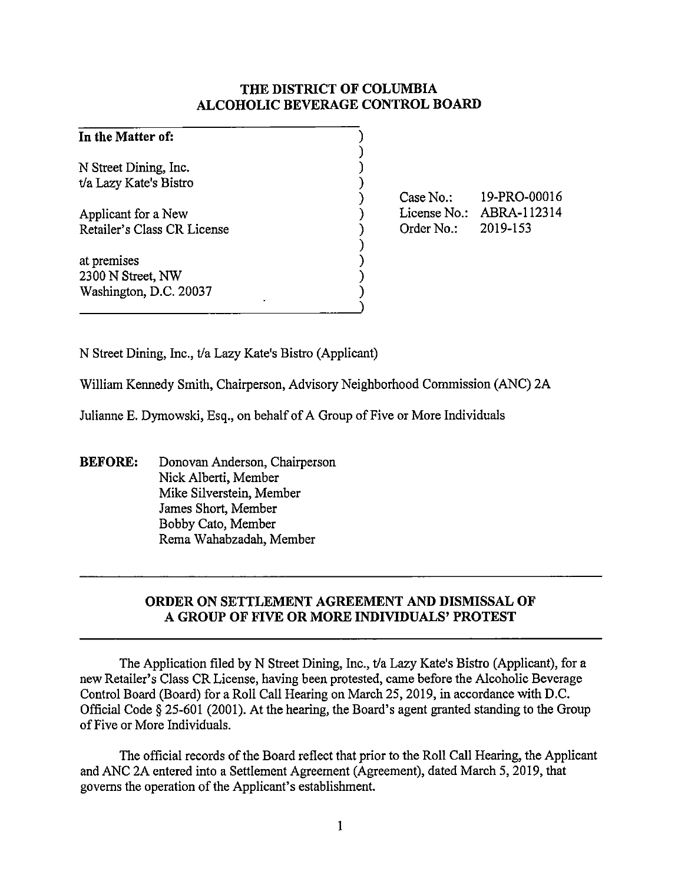# **THE DISTRICT OF COLUMBIA ALCOHOLIC BEVERAGE CONTROL BOARD**

| In the Matter of:           |  |
|-----------------------------|--|
|                             |  |
| N Street Dining, Inc.       |  |
| t/a Lazy Kate's Bistro      |  |
|                             |  |
| Applicant for a New         |  |
| Retailer's Class CR License |  |
|                             |  |
| at premises                 |  |
| 2300 N Street, NW           |  |
| Washington, D.C. 20037      |  |
|                             |  |

Case No.: License No.: ABRA-112314 Order No.: 19-PRO-00016 2019-153

N Street Dining, Inc., t/a Lazy Kate's Bistro (Applicant)

William Kennedy Smith, Chairperson, Advisory Neighborhood Commission (ANC) 2A

Julianne E. Dymowski, Esq., on behalf of A Group of Five or More Individuals

**BEFORE:** Donovan Anderson, Chairperson Nick Alberti, Member Mike Silverstein, Member James Short, Member Bobby Cato, Member Rema Wahabzadah, Member

# **ORDER ON SETTLEMENT AGREEMENT AND DISMISSAL OF A GROUP OF FIVE OR MORE INDIVIDUALS' PROTEST**

The Application filed by N Street Dining, Inc., t/a Lazy Kate's Bistro (Applicant), for a new Retailer's Class CR License, having been protested, came before the Alcoholic Beverage Control Board (Board) for a Roll Call Hearing on March 25, 2019, in accordance with D.C. Official Code§ 25-601 (2001). At the hearing, the Board's agent granted standing to the Group of Five or More Individuals.

The official records of the Board reflect that prior to the Roll Call Hearing, the Applicant and ANC 2A entered into a Settlement Agreement (Agreement), dated March 5, 2019, that governs the operation of the Applicant's establishment.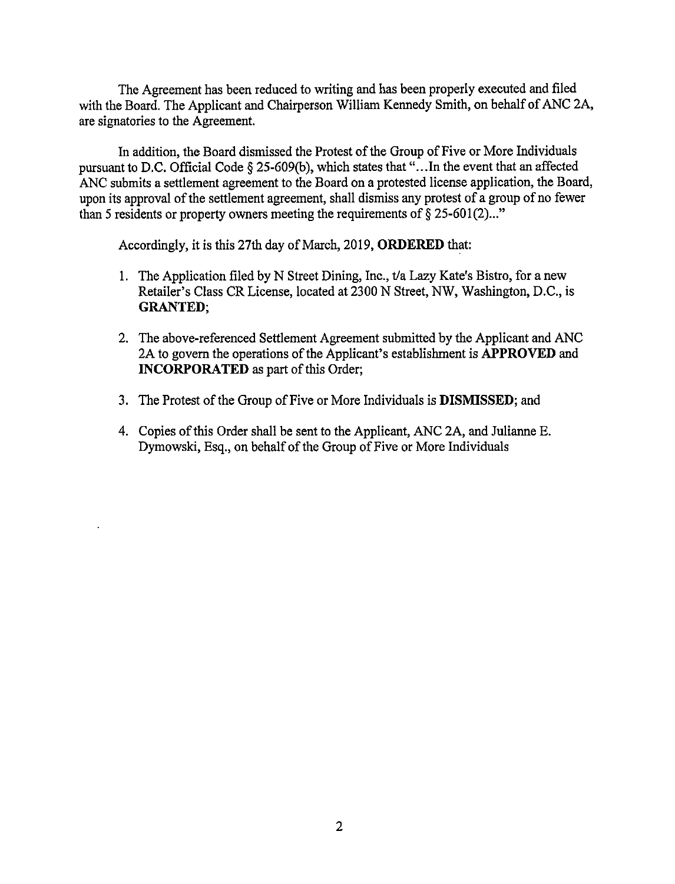The Agreement has been reduced to writing and has been properly executed and filed with the Board. The Applicant and Chairperson William Kennedy Smith, on behalf of ANC 2A, are signatories to the Agreement.

In addition, the Board dismissed the Protest of the Group of Five or More Individuals pursuant to D.C. Official Code  $\S$  25-609(b), which states that "... In the event that an affected ANC submits a settlement agreement to the Board on a protested license application, the Board, upon its approval of the settlement agreement, shall dismiss any protest of a group of no fewer than 5 residents or property owners meeting the requirements of  $\S 25-601(2)$ ..."

Accordingly, it is this 27th day of March, 2019, **ORDERED** that:

- 1. The Application filed by N Street Dining, Inc., t/a Lazy Kate's Bistro, for a new Retailer's Class CR License, located at 2300 N Street, NW, Washington, D.C., is **GRANTED;**
- 2. The above-referenced Settlement Agreement submitted by the Applicant and ANC 2A to govern the operations of the Applicant's establishment is **APPROVED** and **INCORPORATED** as part of this Order;
- 3. The Protest of the Group of Five or More Individuals is **DISMISSED;** and
- 4. Copies of this Order shall be sent to the Applicant, ANC 2A, and Julianne E. Dymowski, Esq., on behalf of the Group of Five or More Individuals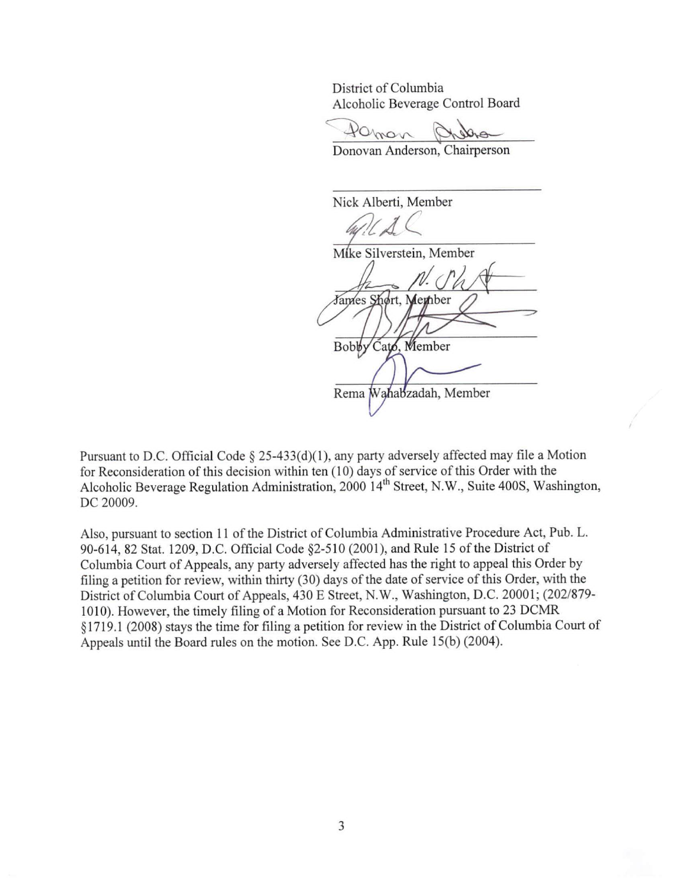District of Columbia Alcoholic Beverage Control Board

~O,~"' ia<br>e Control Board<br>Quebector<br>n, Chairperson

Donovan Anderson,

Nick Alberti, Member *//4 (* 

Mike Silverstein, Member James Shørt, Member Cato, Member **Bobby** 

Rema Wahabzadah, Member

Pursuant to D.C. Official Code  $\S$  25-433(d)(1), any party adversely affected may file a Motion for Reconsideration of this decision within ten (10) days of service of this Order with the Alcoholic Beverage Regulation Administration, 2000 14<sup>th</sup> Street, N.W., Suite 400S, Washington, DC 20009.

Also, pursuant to section 11 of the District of Columbia Administrative Procedure Act, Pub. L. 90-614, 82 Stat. 1209, D.C. Official Code §2-510 (2001), and Rule 15 of the District of Colwnbia Court of Appeals, any party adversely affected has the right to appeal this Order by filing a petition for review, within thirty (30) days of the date of service of this Order, with the District of Columbia Court of Appeals, 430 E Street, **N.W.,** Washington, D.C. 2000 1; (202/879- 1010). However, the timely filing of a Motion for Reconsideration pursuant to 23 DCMR § 1719.1 (2008) stays the time for filing a petition for review in the District of Columbia Court of Appeals until the Board rules on the motion. See D.C. App. Rule 15(b) (2004).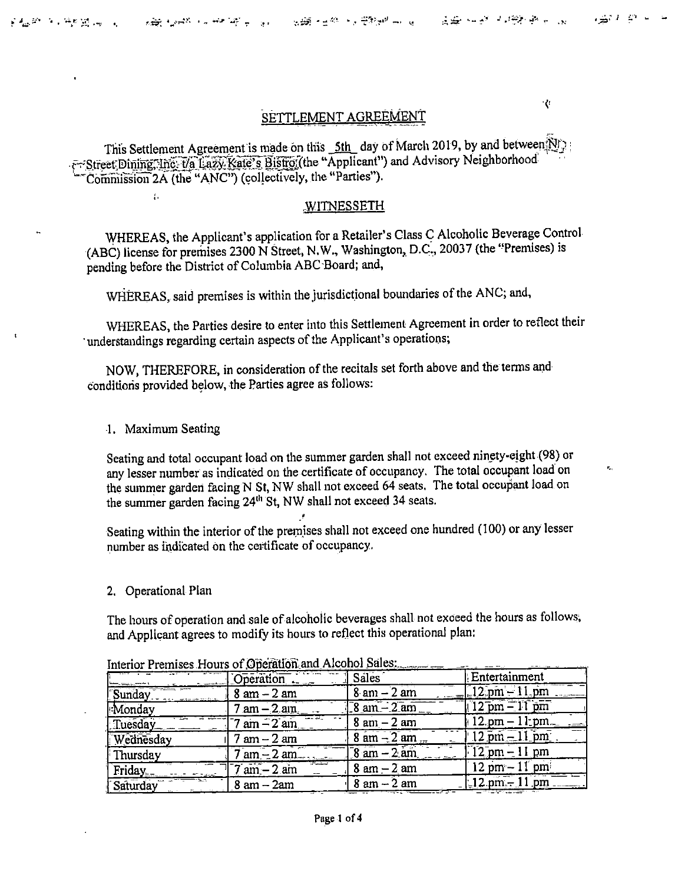$\mathcal{R}_{\text{max}}$ 

₹¢

# SETTLEMENT AGREEMENT

This Settlement Agreement is made on this 5th day of March 2019, by and between Nf F-Street Dining, inc. Va Lazy Kate's Bistro (the "Applicant") and Advisory Neighborhood Commission 2A (the "ANC") (collectively, the "Parties").

#### **WITNESSETH**

WHEREAS, the Applicant's application for a Retailer's Class C Alcoholic Beverage Control (ABC) license for premises 2300 N Street, N.W., Washington, D.C., 20037 (the "Premises) is pending before the District of Columbia ABC Board; and,

WHEREAS, said premises is within the jurisdictional boundaries of the ANC; and,

WHEREAS, the Parties desire to enter into this Settlement Agreement in order to reflect their 'understandings regarding certain aspects of the Applicant's operations;

NOW, THEREFORE, in consideration of the recitals set forth above and the terms and conditions provided below, the Parties agree as follows:

1. Maximum Seating

 $\mathcal{U}$ 

Seating and total occupant load on the summer garden shall not exceed ninety-eight (98) or any lesser number as indicated on the certificate of occupancy. The total occupant load on the summer garden facing N St, NW shall not exceed 64 seats. The total occupant load on the summer garden facing 24<sup>th</sup> St, NW shall not exceed 34 seats.

Seating within the interior of the premises shall not exceed one hundred (100) or any lesser number as indicated on the certificate of occupancy.

2. Operational Plan

The hours of operation and sale of alcoholic beverages shall not exceed the hours as follows, and Applicant agrees to modify its hours to reflect this operational plan:

| $1 \text{cm}$ $\text{cm}$ $\text{cm}$ $\text{cm}$ $\text{cm}$ $\text{cm}$ $\text{cm}$ $\text{cm}$ $\text{cm}$ $\text{cm}$ $\text{cm}$ $\text{cm}$ $\text{cm}$ $\text{cm}$ $\text{cm}$ $\text{cm}$ $\text{cm}$ $\text{cm}$ $\text{cm}$ $\text{cm}$ $\text{cm}$ $\text{cm}$ $\text{cm}$ $\text{cm}$ $\text{cm}$ $\text{cm}$ $\text{cm}$ $\text{$ |                                 |                               |                                   |  |
|------------------------------------------------------------------------------------------------------------------------------------------------------------------------------------------------------------------------------------------------------------------------------------------------------------------------------------------------|---------------------------------|-------------------------------|-----------------------------------|--|
|                                                                                                                                                                                                                                                                                                                                                | Operation                       | <b>Sales</b>                  | Entertainment                     |  |
| Sunday                                                                                                                                                                                                                                                                                                                                         | $8 \text{ am} - 2 \text{ am}$   | $8 \text{ am} - 2 \text{ am}$ | $-12$ pm $-11$ pm                 |  |
| Monday                                                                                                                                                                                                                                                                                                                                         | $7 \text{ am} - 2 \text{ am}$ . | $-8$ am $-2$ am               | $12$ pm $-11$ pm                  |  |
| Tuesday                                                                                                                                                                                                                                                                                                                                        | $7 \text{ am} - 2 \text{ am}$ . | $8 \text{ am} - 2 \text{ am}$ | $12. \text{pm} - 11. \text{pm}$ . |  |
| Wednesday                                                                                                                                                                                                                                                                                                                                      | $7 \text{ am} - 2 \text{ am}$   | $8 \text{ am} - 2 \text{ am}$ | $12 \text{ pm} - 11 \text{ pm}$   |  |
| † Thursday                                                                                                                                                                                                                                                                                                                                     | $7 \text{ am} - 2 \text{ am}$   | $8$ am $-2$ am                | $12$ pm $-11$ pm                  |  |
| Friday                                                                                                                                                                                                                                                                                                                                         | للمستنسب<br>7 am – 2 am         | $8 \text{ am} - 2 \text{ am}$ | $12 \text{ pm} - 11 \text{ pm}$   |  |
| Saturday                                                                                                                                                                                                                                                                                                                                       | $8 \text{ am} - 2 \text{am}$    | $8 \text{ am} - 2 \text{ am}$ | $12 \text{ pm} - 11 \text{ pm}$   |  |

Interior Premises Hours of Oneration and Alcohol Sales: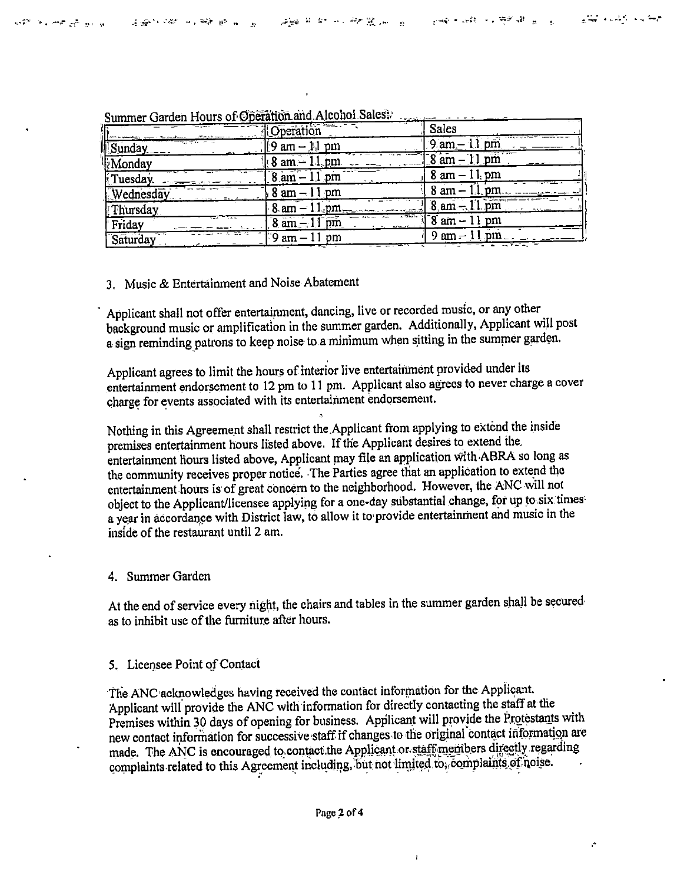|                  | Operation                           | Sales                          |
|------------------|-------------------------------------|--------------------------------|
| Sunday           | $\parallel 9$ am – $\parallel$ , pm | $9$ am $-11$ pm                |
| Monday           | $\frac{1}{2}$ 8 am $-11$ pm         | $18$ am $-11$ pm               |
| Tuesday.         | $8 \text{ am} - 11 \text{ pm}$      | $8$ am $-1$ i, pm              |
| <b>Wednesday</b> | $8 \text{ am} - 11 \text{ pm}$      | $8 \text{ am} - 11 \text{ pm}$ |
| Thursday         | $8 \text{ am} - 11 \text{ pm}$      | $8 \text{ am} - 11 \text{ pm}$ |
| Friday           | $8$ am $-11$ pm                     | $\sqrt{8}$ am $-11$ pm         |
| Saturday         | F9 am – 11 pm                       | $9 \text{ am} - 11 \text{ pm}$ |

Summer Garden Hours of Operation and Alcohol Sales.

#### 3. Music & Entertainment and Noise Abatement

Applicant shall not offer entertainment, dancing, live or recorded music, or any other background music or amplification in the summer garden. Additionally, Applicant will post a sign reminding patrons to keep noise to a minimum when sitting in the summer garden.

Applicant agrees to limit the hours of interior live entertainment provided under its entertainment endorsement to 12 pm to 11 pm. Applicant also agrees to never charge a cover charge for events associated with its entertainment endorsement.

Nothing in this Agreement shall restrict the Applicant from applying to extend the inside premises entertainment hours listed above. If the Applicant desires to extend the entertainment hours listed above, Applicant may file an application with ABRA so long as the community receives proper notice. The Parties agree that an application to extend the entertainment hours is of great concern to the neighborhood. However, the ANC will not object to the Applicant/licensee applying for a one-day substantial change, for up to six times a year in accordance with District law, to allow it to provide entertainment and music in the inside of the restaurant until 2 am.

### 4. Summer Garden

At the end of service every night, the chairs and tables in the summer garden shall be secured as to inhibit use of the furniture after hours.

### 5. Licensee Point of Contact

The ANC acknowledges having received the contact information for the Applicant. Applicant will provide the ANC with information for directly contacting the staff at the Premises within 30 days of opening for business. Applicant will provide the Protestants with new contact information for successive staff if changes to the original contact information are made. The ANC is encouraged to contact the Applicant or staff members directly regarding complaints related to this Agreement including, but not limited to, complaints of noise.

V.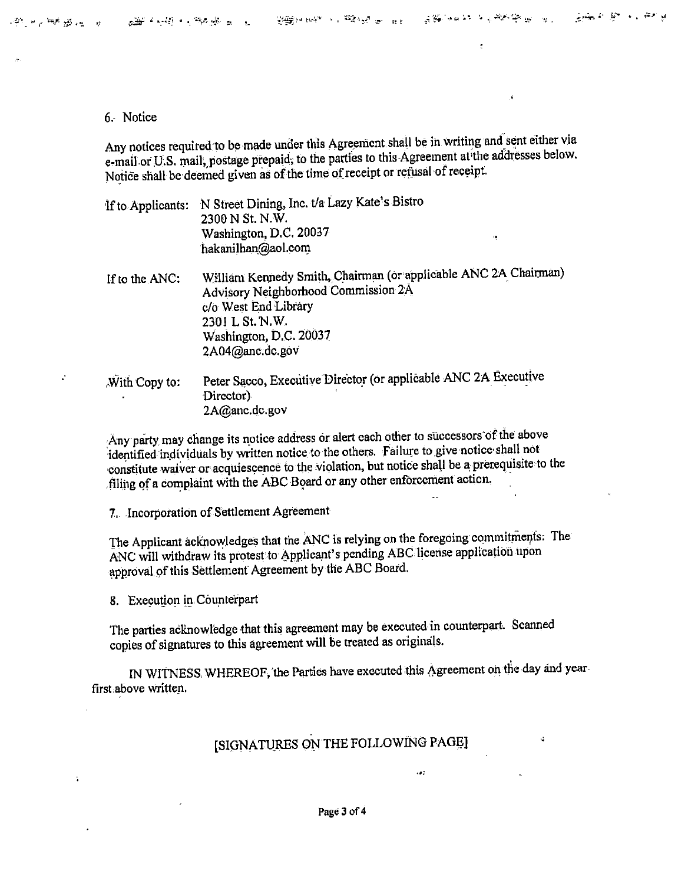$\ddot{\cdot}$ 

Y.

 $\ddot{\phantom{a}}$ 

#### 6.- Notice

Any notices required to be made under this Agreement shall be in writing and sent either via e-mail or U.S. mail, postage prepaid; to the parties to this-Agreement at the addresses below. Notice shall be deemed given as of the time of receipt or refusal of receipt.

'lfto Applicants: N Street Dining, Inc. t/a Lazy Kate's Bistro 2300 N St. N.W. Washington, D.C. 20037 hakanilhan@aol.com

- If to the ANC: William Kennedy Smith, Chairman (or applicable ANC 2A Chairman) Advisory Neighborhood Commission 2A · c/o West End Library 2301 L St. N.W. Washington, D.C. 20037 2A04@anc,dc.gov'
- With Copy to: Peter Sacco, Executive Director (or applicable ANC 2A Executive Director) 2A@anc.dc.gov

Any party may change its notice address or alert each other to successors of the above :identified inpividuals by written notice to the other:s. Failure to give notice· shall not constitute waiver or acquiescence to the violation, but notice shall be a prerequisite to the . filing of a complaint with the ABC Board or any other enforcement action.

7. Incorporation of Settlement Agreement

The Applicant acknowledges that the ANC is relying on the foregoing commitments. The ANC will withdraw its protest to Applicant's pending ABC license application upon approval of this Settlement Agreement by the ABC Board.

8. Execution in Counterpart

The parties acknowledge that this agreement may be executed in counterpart. Scanned copies of signatures to this agreement will be treated as originals.

IN WITNESS. WHEREOF, the Parties have executed this Agreement on the day and year first above written.

# [SIGNATURES ON THE FOLLOWING PAGE]

 $107$